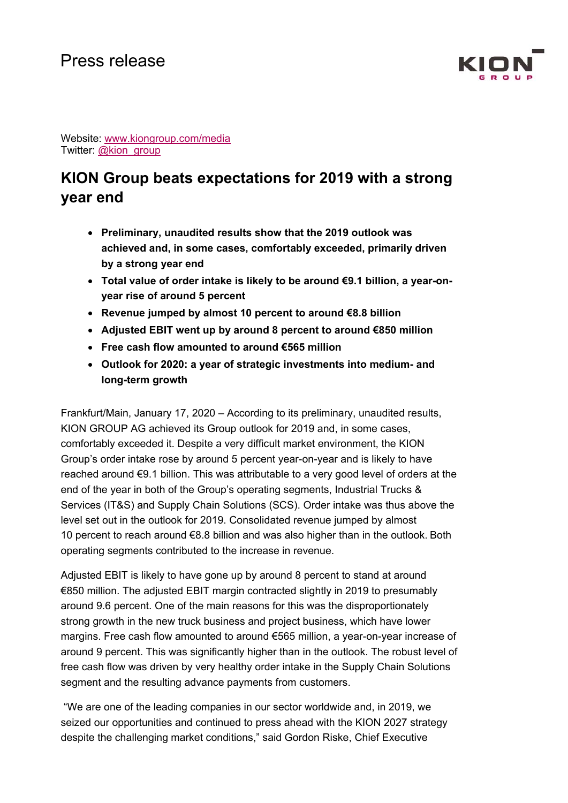

Website: www.kiongroup.com/media Twitter: @kion\_group

# **KION Group beats expectations for 2019 with a strong year end**

- **Preliminary, unaudited results show that the 2019 outlook was achieved and, in some cases, comfortably exceeded, primarily driven by a strong year end**
- **Total value of order intake is likely to be around €9.1 billion, a year-onyear rise of around 5 percent**
- **Revenue jumped by almost 10 percent to around €8.8 billion**
- **Adjusted EBIT went up by around 8 percent to around €850 million**
- **Free cash flow amounted to around €565 million**
- **Outlook for 2020: a year of strategic investments into medium- and long-term growth**

Frankfurt/Main, January 17, 2020 – According to its preliminary, unaudited results, KION GROUP AG achieved its Group outlook for 2019 and, in some cases, comfortably exceeded it. Despite a very difficult market environment, the KION Group's order intake rose by around 5 percent year-on-year and is likely to have reached around €9.1 billion. This was attributable to a very good level of orders at the end of the year in both of the Group's operating segments, Industrial Trucks & Services (IT&S) and Supply Chain Solutions (SCS). Order intake was thus above the level set out in the outlook for 2019. Consolidated revenue jumped by almost 10 percent to reach around €8.8 billion and was also higher than in the outlook. Both operating segments contributed to the increase in revenue.

Adjusted EBIT is likely to have gone up by around 8 percent to stand at around €850 million. The adjusted EBIT margin contracted slightly in 2019 to presumably around 9.6 percent. One of the main reasons for this was the disproportionately strong growth in the new truck business and project business, which have lower margins. Free cash flow amounted to around €565 million, a year-on-year increase of around 9 percent. This was significantly higher than in the outlook. The robust level of free cash flow was driven by very healthy order intake in the Supply Chain Solutions segment and the resulting advance payments from customers.

 "We are one of the leading companies in our sector worldwide and, in 2019, we seized our opportunities and continued to press ahead with the KION 2027 strategy despite the challenging market conditions," said Gordon Riske, Chief Executive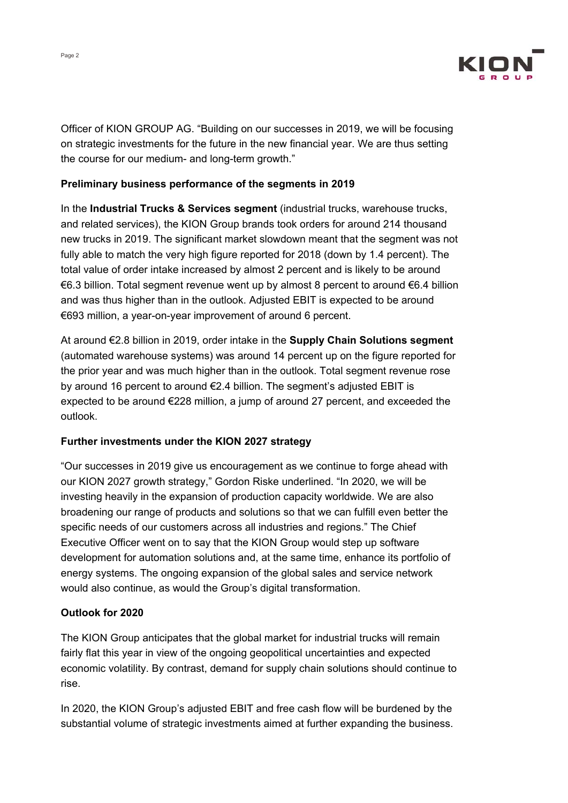

Officer of KION GROUP AG. "Building on our successes in 2019, we will be focusing on strategic investments for the future in the new financial year. We are thus setting the course for our medium- and long-term growth."

#### **Preliminary business performance of the segments in 2019**

In the **Industrial Trucks & Services segment** (industrial trucks, warehouse trucks, and related services), the KION Group brands took orders for around 214 thousand new trucks in 2019. The significant market slowdown meant that the segment was not fully able to match the very high figure reported for 2018 (down by 1.4 percent). The total value of order intake increased by almost 2 percent and is likely to be around €6.3 billion. Total segment revenue went up by almost 8 percent to around €6.4 billion and was thus higher than in the outlook. Adjusted EBIT is expected to be around €693 million, a year-on-year improvement of around 6 percent.

At around €2.8 billion in 2019, order intake in the **Supply Chain Solutions segment** (automated warehouse systems) was around 14 percent up on the figure reported for the prior year and was much higher than in the outlook. Total segment revenue rose by around 16 percent to around €2.4 billion. The segment's adjusted EBIT is expected to be around €228 million, a jump of around 27 percent, and exceeded the outlook.

## **Further investments under the KION 2027 strategy**

"Our successes in 2019 give us encouragement as we continue to forge ahead with our KION 2027 growth strategy," Gordon Riske underlined. "In 2020, we will be investing heavily in the expansion of production capacity worldwide. We are also broadening our range of products and solutions so that we can fulfill even better the specific needs of our customers across all industries and regions." The Chief Executive Officer went on to say that the KION Group would step up software development for automation solutions and, at the same time, enhance its portfolio of energy systems. The ongoing expansion of the global sales and service network would also continue, as would the Group's digital transformation.

## **Outlook for 2020**

The KION Group anticipates that the global market for industrial trucks will remain fairly flat this year in view of the ongoing geopolitical uncertainties and expected economic volatility. By contrast, demand for supply chain solutions should continue to rise.

In 2020, the KION Group's adjusted EBIT and free cash flow will be burdened by the substantial volume of strategic investments aimed at further expanding the business.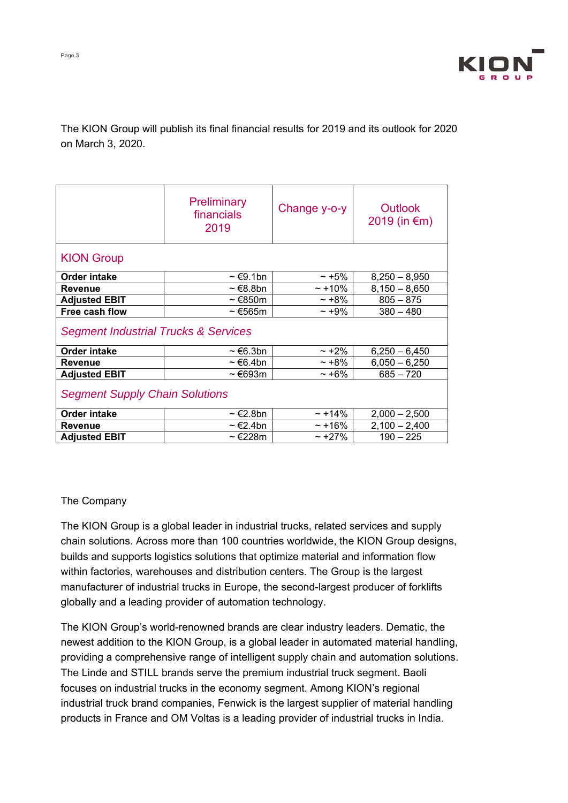

## The KION Group will publish its final financial results for 2019 and its outlook for 2020 on March 3, 2020.

|                                                 | <b>Preliminary</b><br>financials<br>2019 | Change y-o-y | Outlook<br>2019 (in $€m)$ |
|-------------------------------------------------|------------------------------------------|--------------|---------------------------|
| <b>KION Group</b>                               |                                          |              |                           |
| Order intake                                    | $\sim \epsilon$ 9.1bn                    | $~15\%$      | $8,250 - 8,950$           |
| Revenue                                         | ~ €8.8bn                                 | $~10\%$      | $8,150 - 8,650$           |
| <b>Adjusted EBIT</b>                            | $\sim \epsilon$ 850m                     | $~10\%$      | $805 - 875$               |
| Free cash flow                                  | $\sim$ €565m                             | $\sim +9\%$  | $380 - 480$               |
| <b>Segment Industrial Trucks &amp; Services</b> |                                          |              |                           |
| <b>Order intake</b>                             | $\sim \epsilon$ 6.3bn                    | $\sim$ +2%   | $6,250 - 6,450$           |
| <b>Revenue</b>                                  | $\sim \epsilon$ 6.4bn                    | ~100         | $6,050 - 6,250$           |
| <b>Adjusted EBIT</b>                            | ~ €693m                                  | $~16\%$      | $685 - 720$               |
| <b>Segment Supply Chain Solutions</b>           |                                          |              |                           |
| <b>Order intake</b>                             | ~ €2.8bn                                 | $\sim$ +14%  | $2,000 - 2,500$           |
| <b>Revenue</b>                                  | $\sim \epsilon$ 2.4bn                    | $~16\%$      | $2,100 - 2,400$           |
| <b>Adjusted EBIT</b>                            | ~ €228m                                  | $\sim$ +27%  | $190 - 225$               |

## The Company

The KION Group is a global leader in industrial trucks, related services and supply chain solutions. Across more than 100 countries worldwide, the KION Group designs, builds and supports logistics solutions that optimize material and information flow within factories, warehouses and distribution centers. The Group is the largest manufacturer of industrial trucks in Europe, the second-largest producer of forklifts globally and a leading provider of automation technology.

The KION Group's world-renowned brands are clear industry leaders. Dematic, the newest addition to the KION Group, is a global leader in automated material handling, providing a comprehensive range of intelligent supply chain and automation solutions. The Linde and STILL brands serve the premium industrial truck segment. Baoli focuses on industrial trucks in the economy segment. Among KION's regional industrial truck brand companies, Fenwick is the largest supplier of material handling products in France and OM Voltas is a leading provider of industrial trucks in India.